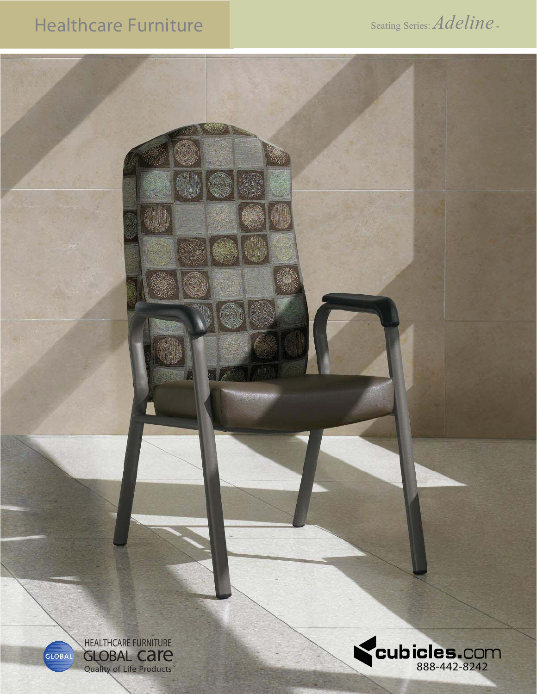## Healthcare Furniture

Seating Series: *Adeline*